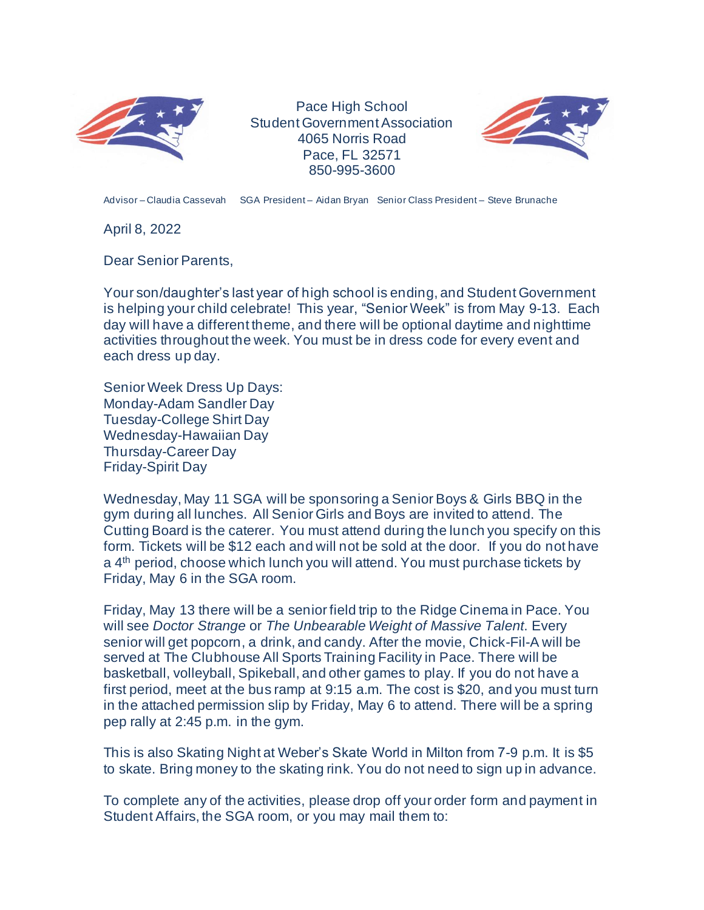

Pace High School Student Government Association 4065 Norris Road Pace, FL 32571 850-995-3600



Advisor – Claudia Cassevah SGA President – Aidan Bryan Senior Class President – Steve Brunache

April 8, 2022

Dear Senior Parents,

Your son/daughter's last year of high school is ending, and Student Government is helping your child celebrate! This year, "Senior Week" is from May 9-13. Each day will have a different theme, and there will be optional daytime and nighttime activities throughout the week. You must be in dress code for every event and each dress up day.

Senior Week Dress Up Days: Monday-Adam Sandler Day Tuesday-College Shirt Day Wednesday-Hawaiian Day Thursday-Career Day Friday-Spirit Day

Wednesday, May 11 SGA will be sponsoring a Senior Boys & Girls BBQ in the gym during all lunches. All Senior Girls and Boys are invited to attend. The Cutting Board is the caterer. You must attend during the lunch you specify on this form. Tickets will be \$12 each and will not be sold at the door. If you do not have a 4<sup>th</sup> period, choose which lunch you will attend. You must purchase tickets by Friday, May 6 in the SGA room.

Friday, May 13 there will be a senior field trip to the Ridge Cinema in Pace. You will see *Doctor Strange* or *The Unbearable Weight of Massive Talent*. Every senior will get popcorn, a drink, and candy. After the movie, Chick-Fil-A will be served at The Clubhouse All Sports Training Facility in Pace. There will be basketball, volleyball, Spikeball, and other games to play. If you do not have a first period, meet at the bus ramp at 9:15 a.m. The cost is \$20, and you must turn in the attached permission slip by Friday, May 6 to attend. There will be a spring pep rally at 2:45 p.m. in the gym.

This is also Skating Night at Weber's Skate World in Milton from 7-9 p.m. It is \$5 to skate. Bring money to the skating rink. You do not need to sign up in advance.

To complete any of the activities, please drop off your order form and payment in Student Affairs, the SGA room, or you may mail them to: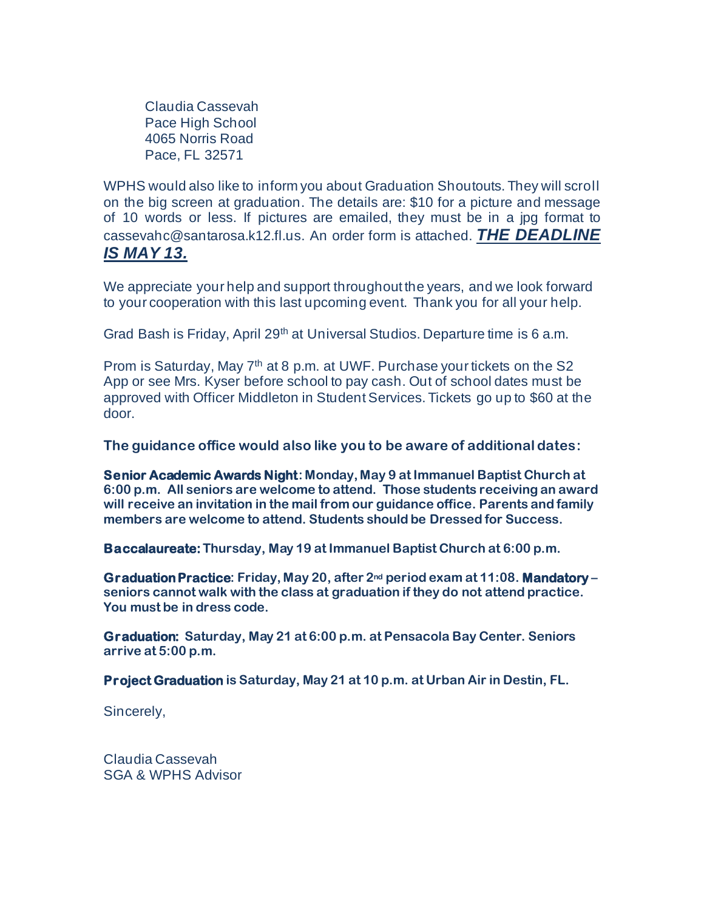Claudia Cassevah Pace High School 4065 Norris Road Pace, FL 32571

WPHS would also like to inform you about Graduation Shoutouts. They will scroll on the big screen at graduation. The details are: \$10 for a picture and message of 10 words or less. If pictures are emailed, they must be in a jpg format to cassevahc@santarosa.k12.fl.us. An order form is attached. *THE DEADLINE IS MAY 13.*

We appreciate your help and support throughout the years, and we look forward to your cooperation with this last upcoming event. Thank you for all your help.

Grad Bash is Friday, April 29<sup>th</sup> at Universal Studios. Departure time is 6 a.m.

Prom is Saturday, May 7<sup>th</sup> at 8 p.m. at UWF. Purchase your tickets on the S2 App or see Mrs. Kyser before school to pay cash. Out of school dates must be approved with Officer Middleton in Student Services. Tickets go up to \$60 at the door.

**The guidance office would also like you to be aware of additional dates:**

**Senior Academic Awards Night: Monday, May 9 at Immanuel Baptist Church at 6:00 p.m. All seniors are welcome to attend. Those students receiving an award will receive an invitation in the mail from our guidance office. Parents and family members are welcome to attend. Students should be Dressed for Success.**

**Baccalaureate: Thursday, May 19 at Immanuel Baptist Church at 6:00 p.m.** 

**Graduation Practice: Friday, May 20, after 2nd period exam at 11:08. Mandatory – seniors cannot walk with the class at graduation if they do not attend practice. You must be in dress code.**

**Graduation: Saturday, May 21 at 6:00 p.m. at Pensacola Bay Center. Seniors arrive at 5:00 p.m.**

**Project Graduation is Saturday, May 21 at 10 p.m. at Urban Air in Destin, FL.** 

Sincerely,

Claudia Cassevah SGA & WPHS Advisor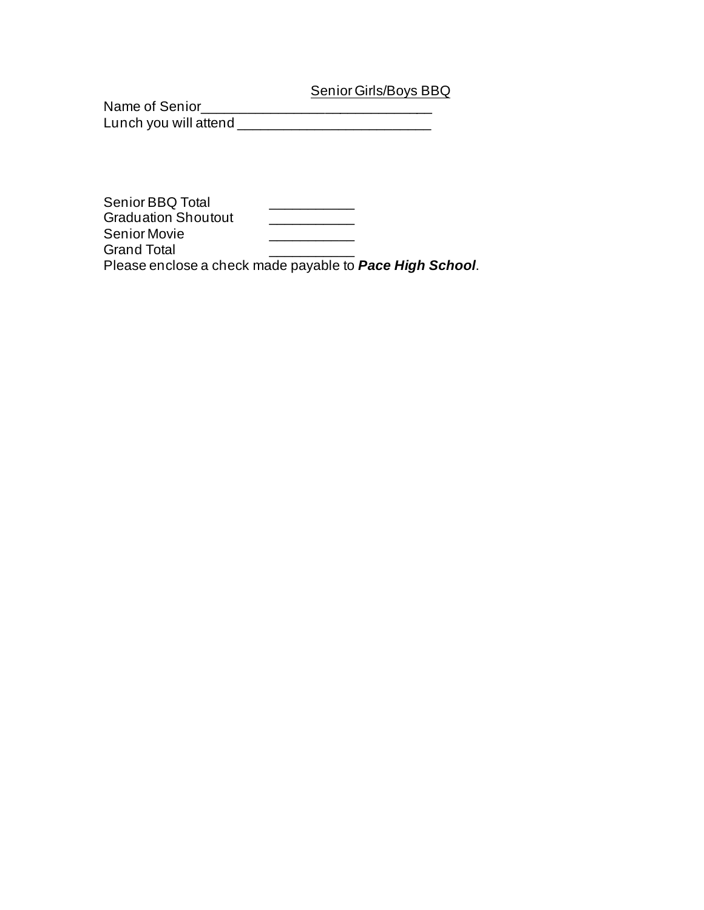#### Senior Girls/Boys BBQ

| Name of Senior        |  |
|-----------------------|--|
| Lunch you will attend |  |

Senior BBQ Total Graduation Shoutout \_\_\_\_\_\_\_\_\_\_\_\_<br>Senior Movie Senior Movie \_\_\_\_\_\_\_\_\_\_\_ Grand Total \_\_\_\_\_\_\_\_\_\_\_

Please enclose a check made payable to *Pace High School*.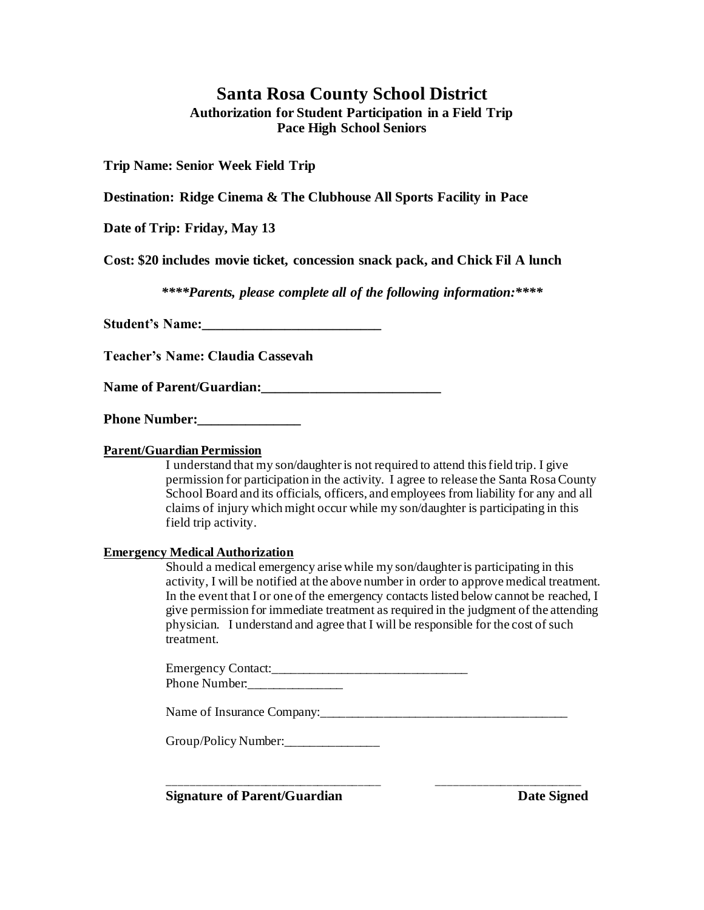### **Santa Rosa County School District Authorization for Student Participation in a Field Trip Pace High School Seniors**

**Trip Name: Senior Week Field Trip**

**Destination: Ridge Cinema & The Clubhouse All Sports Facility in Pace**

**Date of Trip: Friday, May 13**

**Cost: \$20 includes movie ticket, concession snack pack, and Chick Fil A lunch**

*\*\*\*\*Parents, please complete all of the following information:\*\*\*\**

Student's Name:

**Teacher's Name: Claudia Cassevah**

Name of Parent/Guardian:

**Phone Number:** 

#### **Parent/Guardian Permission**

I understand that my son/daughter is not required to attend this field trip. I give permission for participation in the activity. I agree to release the Santa Rosa County School Board and its officials, officers, and employees from liability for any and all claims of injury which might occur while my son/daughter is participating in this field trip activity.

#### **Emergency Medical Authorization**

Should a medical emergency arise while my son/daughter is participating in this activity, I will be notified at the above number in order to approve medical treatment. In the event that I or one of the emergency contacts listed below cannot be reached, I give permission for immediate treatment as required in the judgment of the attending physician. I understand and agree that I will be responsible for the cost of such treatment.

Emergency Contact:\_\_\_\_\_\_\_\_\_\_\_\_\_\_\_\_\_\_\_\_\_\_\_\_\_\_\_\_\_\_\_ Phone Number:

Name of Insurance Company:

\_\_\_\_\_\_\_\_\_\_\_\_\_\_\_\_\_\_\_\_\_\_\_\_\_\_\_\_\_\_\_\_\_\_\_\_\_ \_\_\_\_\_\_\_\_\_\_\_\_\_\_\_\_\_\_\_\_\_\_\_\_\_

Group/Policy Number:\_\_\_\_\_\_\_\_\_\_\_\_\_\_\_

**Signature of Parent/Guardian Date Signed**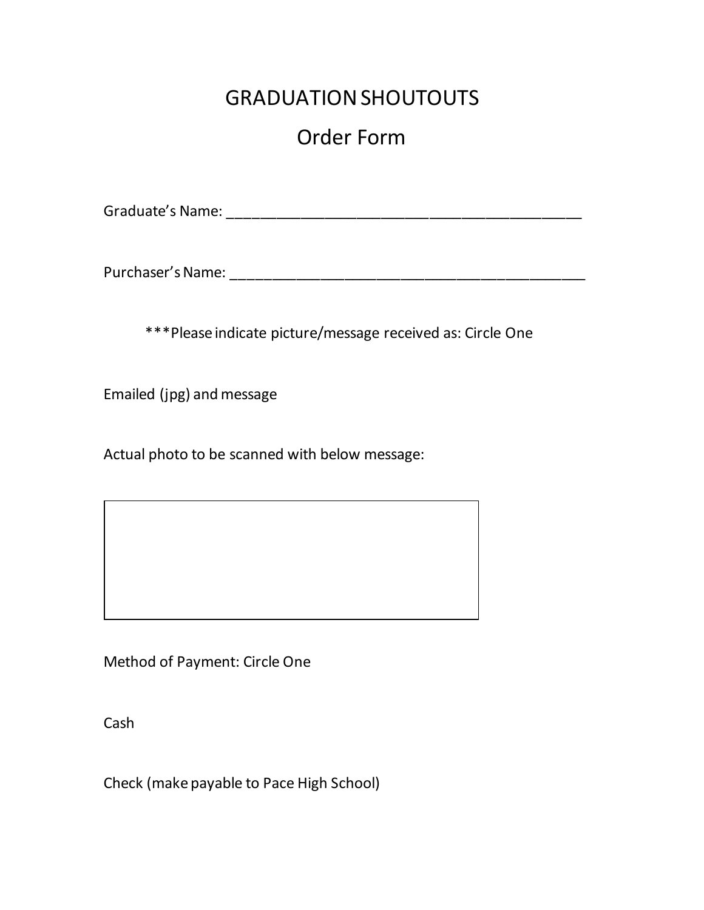# GRADUATION SHOUTOUTS

## Order Form

Graduate's Name: \_\_\_\_\_\_\_\_\_\_\_\_\_\_\_\_\_\_\_\_\_\_\_\_\_\_\_\_\_\_\_\_\_\_\_\_\_\_\_\_\_\_\_\_

Purchaser's Name: \_\_\_\_\_\_\_\_\_\_\_\_\_\_\_\_\_\_\_\_\_\_\_\_\_\_\_\_\_\_\_\_\_\_\_\_\_\_\_\_\_\_\_\_

\*\*\*Please indicate picture/message received as: Circle One

Emailed (jpg) and message

Actual photo to be scanned with below message:

Method of Payment: Circle One

Cash

Check (make payable to Pace High School)